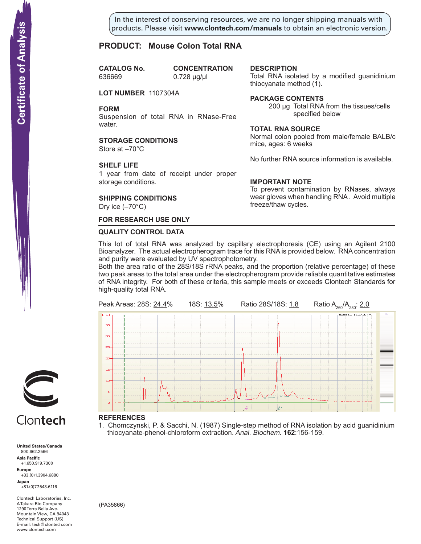In the interest of conserving resources, we are no longer shipping manuals with products. Please visit **www.clontech.com/manuals** to obtain an electronic version.

**description**

thiocyanate method  $(1)$ .

**Package Contents**

**Total RNA source**

mice, ages: 6 weeks

**IMPORTANT NOTE**

freeze/thaw cycles.

Total RNA isolated by a modified guanidinium

specified below

Normal colon pooled from male/female BALB/c

No further RNA source information is available.

To prevent contamination by RNases, always wear gloves when handling RNA . Avoid multiple

200 µg Total RNA from the tissues/cells

# **PRODUCT: Mouse Colon Total RNA**

**CATALOG** No. 636669 0.728 µg/µl

**CONCENTRATION** 

**LOT NUMBER** 1107304A

**FORM**

Suspension of total RNA in RNase-Free water.

**STORAGE CONDITIONS** Store at –70°C

# **SHELF LIFE**

1 year from date of receipt under proper storage conditions.

# **SHIPPING CONDITIONS**

Dry ice (–70°C)

# **FOR RESEARCH USE ONLY**

### **QUALITY CONTROL DATA**

This lot of total RNA was analyzed by capillary electrophoresis (CE) using an Agilent 2100 Bioanalyzer. The actual electropherogram trace for this RNA is provided below. RNA concentration and purity were evaluated by UV spectrophotometry.

Both the area ratio of the 28S/18S rRNA peaks, and the proportion (relative percentage) of these two peak areas to the total area under the electropherogram provide reliable quantitative estimates of RNA integrity. For both of these criteria, this sample meets or exceeds Clontech Standards for high-quality total RNA.



#### **References**

1. Chomczynski, P. & Sacchi, N. (1987) Single-step method of RNA isolation by acid guanidinium thiocyanate-phenol-chloroform extraction. Anal. Biochem. **162**:156-159.



# Clontech

**United States/Canada** 800.662.2566 **Asia Pacific** +1.650.919.7300 **Europe** +33.(0)1.3904.6880 **Japan** +81.(0)77.543.6116 **Solution Control Control Control Control Control Control Control Control Control Control Control Control Control Control Control Control Control Control Control Control Control Control Control Control Control Control Cont** 

Clontech Laboratories, Inc. A Takara Bio Company 1290 Terra Bella Ave. Mountain View, CA 94043 Technical Support (US) E-mail: tech@clontech.com<br>www.clontech.com

(PA35866)